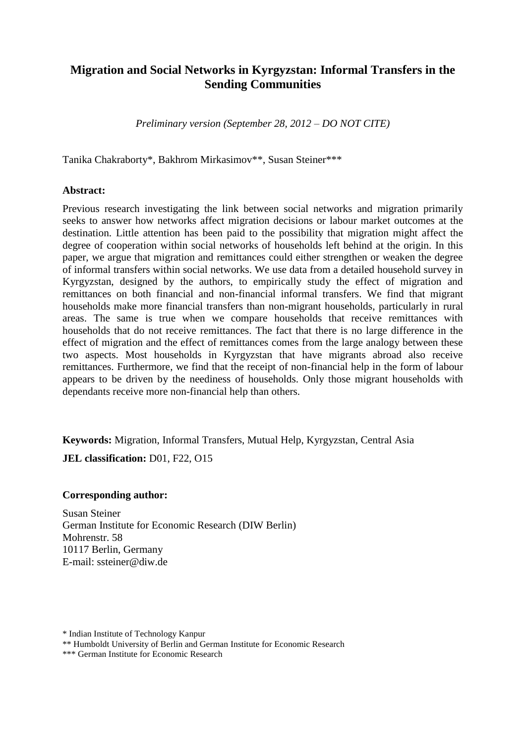# **Migration and Social Networks in Kyrgyzstan: Informal Transfers in the Sending Communities**

*Preliminary version (September 28, 2012 – DO NOT CITE)*

Tanika Chakraborty\*, Bakhrom Mirkasimov\*\*, Susan Steiner\*\*\*

#### **Abstract:**

Previous research investigating the link between social networks and migration primarily seeks to answer how networks affect migration decisions or labour market outcomes at the destination. Little attention has been paid to the possibility that migration might affect the degree of cooperation within social networks of households left behind at the origin. In this paper, we argue that migration and remittances could either strengthen or weaken the degree of informal transfers within social networks. We use data from a detailed household survey in Kyrgyzstan, designed by the authors, to empirically study the effect of migration and remittances on both financial and non-financial informal transfers. We find that migrant households make more financial transfers than non-migrant households, particularly in rural areas. The same is true when we compare households that receive remittances with households that do not receive remittances. The fact that there is no large difference in the effect of migration and the effect of remittances comes from the large analogy between these two aspects. Most households in Kyrgyzstan that have migrants abroad also receive remittances. Furthermore, we find that the receipt of non-financial help in the form of labour appears to be driven by the neediness of households. Only those migrant households with dependants receive more non-financial help than others.

**Keywords:** Migration, Informal Transfers, Mutual Help, Kyrgyzstan, Central Asia **JEL classification:** D01, F22, O15

#### **Corresponding author:**

Susan Steiner German Institute for Economic Research (DIW Berlin) Mohrenstr. 58 10117 Berlin, Germany E-mail: ssteiner@diw.de

<sup>\*</sup> Indian Institute of Technology Kanpur

<sup>\*\*</sup> Humboldt University of Berlin and German Institute for Economic Research

<sup>\*\*\*</sup> German Institute for Economic Research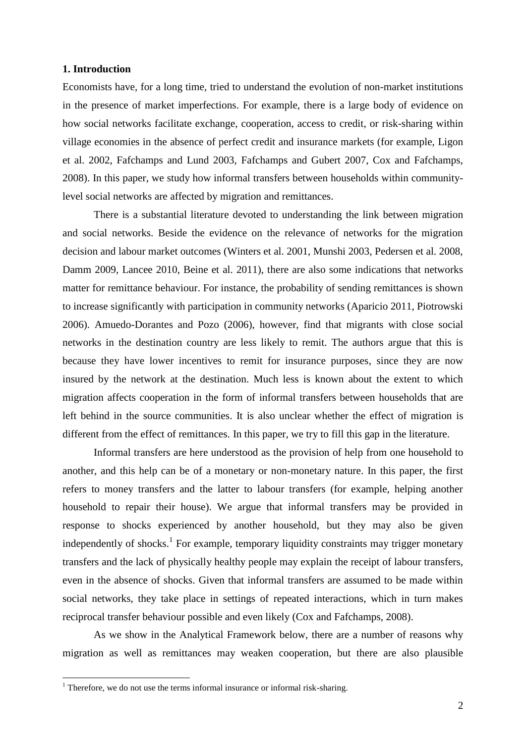#### **1. Introduction**

Economists have, for a long time, tried to understand the evolution of non-market institutions in the presence of market imperfections. For example, there is a large body of evidence on how social networks facilitate exchange, cooperation, access to credit, or risk-sharing within village economies in the absence of perfect credit and insurance markets (for example, Ligon et al. 2002, Fafchamps and Lund 2003, Fafchamps and Gubert 2007, Cox and Fafchamps, 2008). In this paper, we study how informal transfers between households within communitylevel social networks are affected by migration and remittances.

There is a substantial literature devoted to understanding the link between migration and social networks. Beside the evidence on the relevance of networks for the migration decision and labour market outcomes (Winters et al. 2001, Munshi 2003, Pedersen et al. 2008, Damm 2009, Lancee 2010, Beine et al. 2011), there are also some indications that networks matter for remittance behaviour. For instance, the probability of sending remittances is shown to increase significantly with participation in community networks (Aparicio 2011, Piotrowski 2006). Amuedo-Dorantes and Pozo (2006), however, find that migrants with close social networks in the destination country are less likely to remit. The authors argue that this is because they have lower incentives to remit for insurance purposes, since they are now insured by the network at the destination. Much less is known about the extent to which migration affects cooperation in the form of informal transfers between households that are left behind in the source communities. It is also unclear whether the effect of migration is different from the effect of remittances. In this paper, we try to fill this gap in the literature.

Informal transfers are here understood as the provision of help from one household to another, and this help can be of a monetary or non-monetary nature. In this paper, the first refers to money transfers and the latter to labour transfers (for example, helping another household to repair their house). We argue that informal transfers may be provided in response to shocks experienced by another household, but they may also be given independently of shocks.<sup>1</sup> For example, temporary liquidity constraints may trigger monetary transfers and the lack of physically healthy people may explain the receipt of labour transfers, even in the absence of shocks. Given that informal transfers are assumed to be made within social networks, they take place in settings of repeated interactions, which in turn makes reciprocal transfer behaviour possible and even likely (Cox and Fafchamps, 2008).

As we show in the Analytical Framework below, there are a number of reasons why migration as well as remittances may weaken cooperation, but there are also plausible

1

 $1$  Therefore, we do not use the terms informal insurance or informal risk-sharing.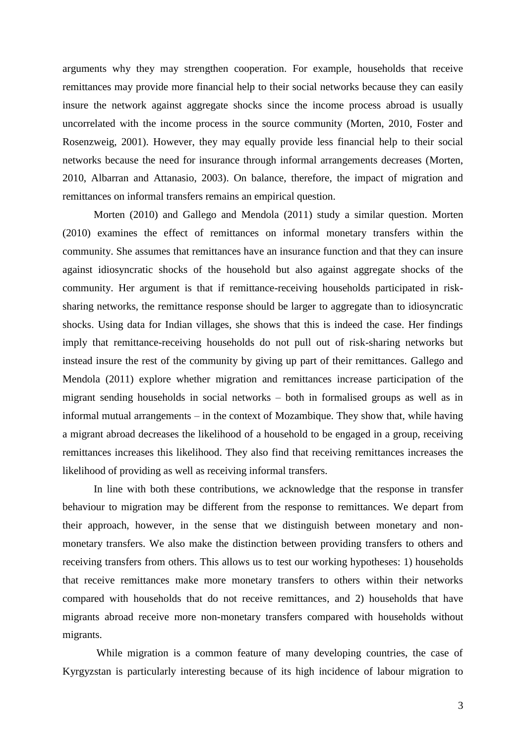arguments why they may strengthen cooperation. For example, households that receive remittances may provide more financial help to their social networks because they can easily insure the network against aggregate shocks since the income process abroad is usually uncorrelated with the income process in the source community (Morten, 2010, Foster and Rosenzweig, 2001). However, they may equally provide less financial help to their social networks because the need for insurance through informal arrangements decreases (Morten, 2010, Albarran and Attanasio, 2003). On balance, therefore, the impact of migration and remittances on informal transfers remains an empirical question.

Morten (2010) and Gallego and Mendola (2011) study a similar question. Morten (2010) examines the effect of remittances on informal monetary transfers within the community. She assumes that remittances have an insurance function and that they can insure against idiosyncratic shocks of the household but also against aggregate shocks of the community. Her argument is that if remittance-receiving households participated in risksharing networks, the remittance response should be larger to aggregate than to idiosyncratic shocks. Using data for Indian villages, she shows that this is indeed the case. Her findings imply that remittance-receiving households do not pull out of risk-sharing networks but instead insure the rest of the community by giving up part of their remittances. Gallego and Mendola (2011) explore whether migration and remittances increase participation of the migrant sending households in social networks – both in formalised groups as well as in informal mutual arrangements – in the context of Mozambique. They show that, while having a migrant abroad decreases the likelihood of a household to be engaged in a group, receiving remittances increases this likelihood. They also find that receiving remittances increases the likelihood of providing as well as receiving informal transfers.

In line with both these contributions, we acknowledge that the response in transfer behaviour to migration may be different from the response to remittances. We depart from their approach, however, in the sense that we distinguish between monetary and nonmonetary transfers. We also make the distinction between providing transfers to others and receiving transfers from others. This allows us to test our working hypotheses: 1) households that receive remittances make more monetary transfers to others within their networks compared with households that do not receive remittances, and 2) households that have migrants abroad receive more non-monetary transfers compared with households without migrants.

While migration is a common feature of many developing countries, the case of Kyrgyzstan is particularly interesting because of its high incidence of labour migration to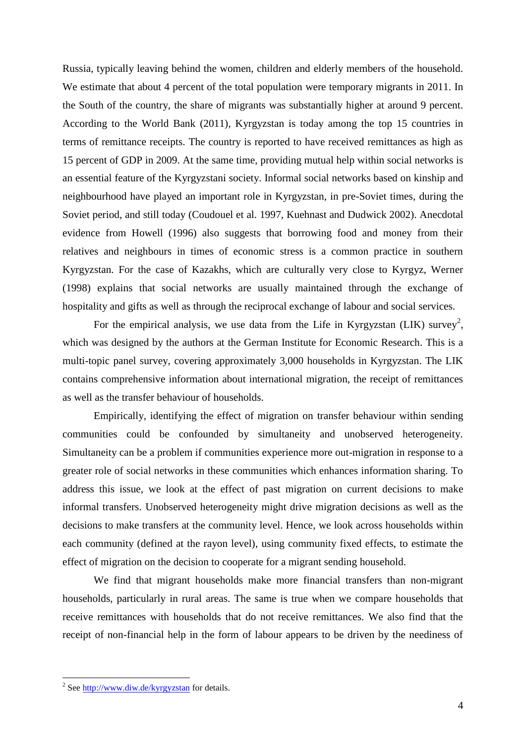Russia, typically leaving behind the women, children and elderly members of the household. We estimate that about 4 percent of the total population were temporary migrants in 2011. In the South of the country, the share of migrants was substantially higher at around 9 percent. According to the World Bank (2011), Kyrgyzstan is today among the top 15 countries in terms of remittance receipts. The country is reported to have received remittances as high as 15 percent of GDP in 2009. At the same time, providing mutual help within social networks is an essential feature of the Kyrgyzstani society. Informal social networks based on kinship and neighbourhood have played an important role in Kyrgyzstan, in pre-Soviet times, during the Soviet period, and still today (Coudouel et al. 1997, Kuehnast and Dudwick 2002). Anecdotal evidence from Howell (1996) also suggests that borrowing food and money from their relatives and neighbours in times of economic stress is a common practice in southern Kyrgyzstan. For the case of Kazakhs, which are culturally very close to Kyrgyz, Werner (1998) explains that social networks are usually maintained through the exchange of hospitality and gifts as well as through the reciprocal exchange of labour and social services.

For the empirical analysis, we use data from the Life in Kyrgyzstan (LIK) survey<sup>2</sup>, which was designed by the authors at the German Institute for Economic Research. This is a multi-topic panel survey, covering approximately 3,000 households in Kyrgyzstan. The LIK contains comprehensive information about international migration, the receipt of remittances as well as the transfer behaviour of households.

Empirically, identifying the effect of migration on transfer behaviour within sending communities could be confounded by simultaneity and unobserved heterogeneity. Simultaneity can be a problem if communities experience more out-migration in response to a greater role of social networks in these communities which enhances information sharing. To address this issue, we look at the effect of past migration on current decisions to make informal transfers. Unobserved heterogeneity might drive migration decisions as well as the decisions to make transfers at the community level. Hence, we look across households within each community (defined at the rayon level), using community fixed effects, to estimate the effect of migration on the decision to cooperate for a migrant sending household.

We find that migrant households make more financial transfers than non-migrant households, particularly in rural areas. The same is true when we compare households that receive remittances with households that do not receive remittances. We also find that the receipt of non-financial help in the form of labour appears to be driven by the neediness of

1

<sup>&</sup>lt;sup>2</sup> See<http://www.diw.de/kyrgyzstan> for details.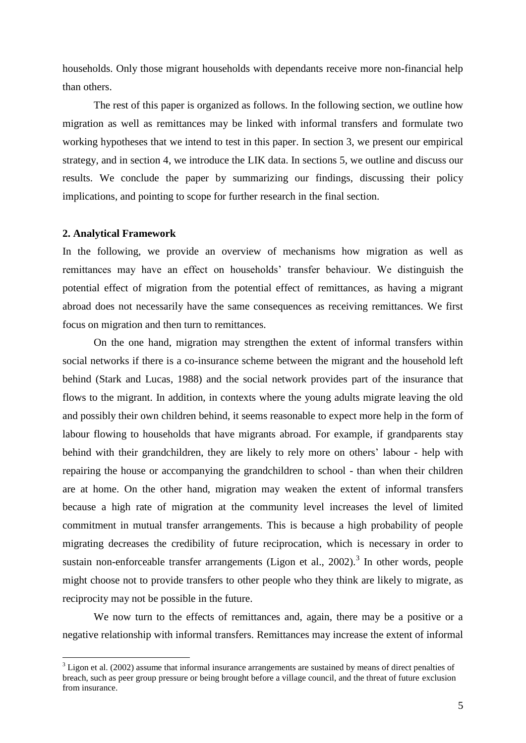households. Only those migrant households with dependants receive more non-financial help than others.

The rest of this paper is organized as follows. In the following section, we outline how migration as well as remittances may be linked with informal transfers and formulate two working hypotheses that we intend to test in this paper. In section 3, we present our empirical strategy, and in section 4, we introduce the LIK data. In sections 5, we outline and discuss our results. We conclude the paper by summarizing our findings, discussing their policy implications, and pointing to scope for further research in the final section.

#### **2. Analytical Framework**

<u>.</u>

In the following, we provide an overview of mechanisms how migration as well as remittances may have an effect on households' transfer behaviour. We distinguish the potential effect of migration from the potential effect of remittances, as having a migrant abroad does not necessarily have the same consequences as receiving remittances. We first focus on migration and then turn to remittances.

On the one hand, migration may strengthen the extent of informal transfers within social networks if there is a co-insurance scheme between the migrant and the household left behind (Stark and Lucas, 1988) and the social network provides part of the insurance that flows to the migrant. In addition, in contexts where the young adults migrate leaving the old and possibly their own children behind, it seems reasonable to expect more help in the form of labour flowing to households that have migrants abroad. For example, if grandparents stay behind with their grandchildren, they are likely to rely more on others' labour - help with repairing the house or accompanying the grandchildren to school - than when their children are at home. On the other hand, migration may weaken the extent of informal transfers because a high rate of migration at the community level increases the level of limited commitment in mutual transfer arrangements. This is because a high probability of people migrating decreases the credibility of future reciprocation, which is necessary in order to sustain non-enforceable transfer arrangements (Ligon et al.,  $2002$ ).<sup>3</sup> In other words, people might choose not to provide transfers to other people who they think are likely to migrate, as reciprocity may not be possible in the future.

We now turn to the effects of remittances and, again, there may be a positive or a negative relationship with informal transfers. Remittances may increase the extent of informal

<sup>&</sup>lt;sup>3</sup> Ligon et al. (2002) assume that informal insurance arrangements are sustained by means of direct penalties of breach, such as peer group pressure or being brought before a village council, and the threat of future exclusion from insurance.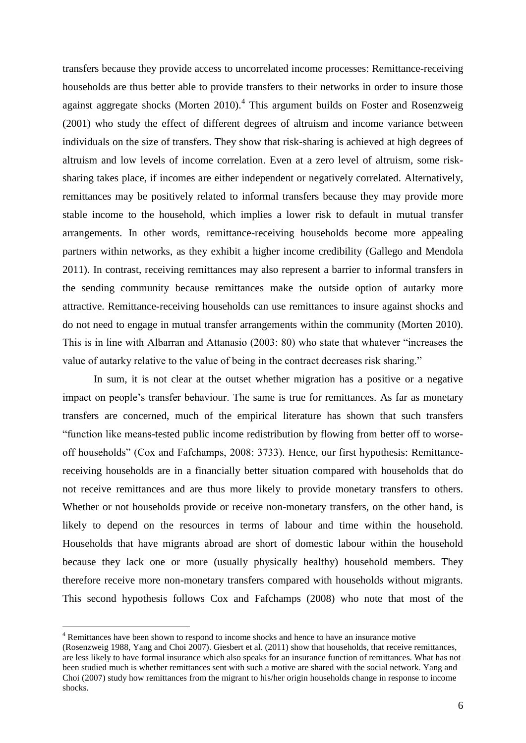transfers because they provide access to uncorrelated income processes: Remittance-receiving households are thus better able to provide transfers to their networks in order to insure those against aggregate shocks (Morten 2010). $^{4}$  This argument builds on Foster and Rosenzweig (2001) who study the effect of different degrees of altruism and income variance between individuals on the size of transfers. They show that risk-sharing is achieved at high degrees of altruism and low levels of income correlation. Even at a zero level of altruism, some risksharing takes place, if incomes are either independent or negatively correlated. Alternatively, remittances may be positively related to informal transfers because they may provide more stable income to the household, which implies a lower risk to default in mutual transfer arrangements. In other words, remittance-receiving households become more appealing partners within networks, as they exhibit a higher income credibility (Gallego and Mendola 2011). In contrast, receiving remittances may also represent a barrier to informal transfers in the sending community because remittances make the outside option of autarky more attractive. Remittance-receiving households can use remittances to insure against shocks and do not need to engage in mutual transfer arrangements within the community (Morten 2010). This is in line with Albarran and Attanasio (2003: 80) who state that whatever "increases the value of autarky relative to the value of being in the contract decreases risk sharing."

In sum, it is not clear at the outset whether migration has a positive or a negative impact on people's transfer behaviour. The same is true for remittances. As far as monetary transfers are concerned, much of the empirical literature has shown that such transfers "function like means-tested public income redistribution by flowing from better off to worseoff households" (Cox and Fafchamps, 2008: 3733). Hence, our first hypothesis: Remittancereceiving households are in a financially better situation compared with households that do not receive remittances and are thus more likely to provide monetary transfers to others. Whether or not households provide or receive non-monetary transfers, on the other hand, is likely to depend on the resources in terms of labour and time within the household. Households that have migrants abroad are short of domestic labour within the household because they lack one or more (usually physically healthy) household members. They therefore receive more non-monetary transfers compared with households without migrants. This second hypothesis follows Cox and Fafchamps (2008) who note that most of the

<u>.</u>

<sup>4</sup> Remittances have been shown to respond to income shocks and hence to have an insurance motive

<sup>(</sup>Rosenzweig 1988, Yang and Choi 2007). Giesbert et al. (2011) show that households, that receive remittances, are less likely to have formal insurance which also speaks for an insurance function of remittances. What has not been studied much is whether remittances sent with such a motive are shared with the social network. Yang and Choi (2007) study how remittances from the migrant to his/her origin households change in response to income shocks.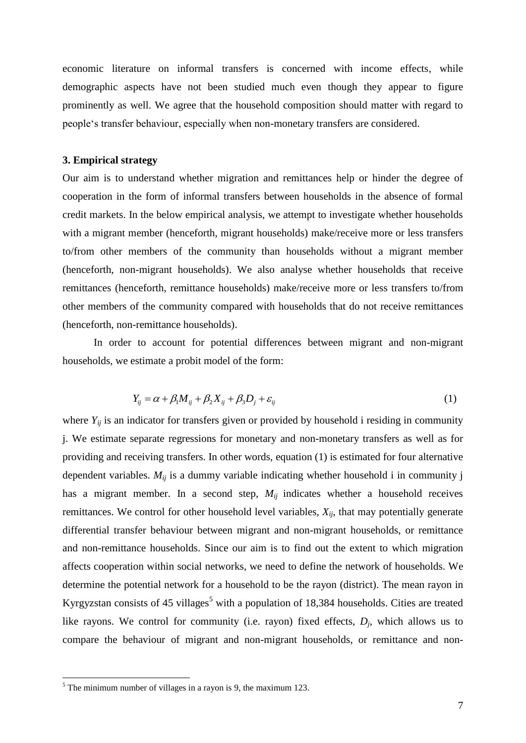economic literature on informal transfers is concerned with income effects, while demographic aspects have not been studied much even though they appear to figure prominently as well. We agree that the household composition should matter with regard to people's transfer behaviour, especially when non-monetary transfers are considered.

#### **3. Empirical strategy**

Our aim is to understand whether migration and remittances help or hinder the degree of cooperation in the form of informal transfers between households in the absence of formal credit markets. In the below empirical analysis, we attempt to investigate whether households with a migrant member (henceforth, migrant households) make/receive more or less transfers to/from other members of the community than households without a migrant member (henceforth, non-migrant households). We also analyse whether households that receive remittances (henceforth, remittance households) make/receive more or less transfers to/from other members of the community compared with households that do not receive remittances (henceforth, non-remittance households).

In order to account for potential differences between migrant and non-migrant households, we estimate a probit model of the form:

$$
Y_{ij} = \alpha + \beta_1 M_{ij} + \beta_2 X_{ij} + \beta_3 D_j + \varepsilon_{ij}
$$
\n(1)

where  $Y_{ij}$  is an indicator for transfers given or provided by household i residing in community j. We estimate separate regressions for monetary and non-monetary transfers as well as for providing and receiving transfers. In other words, equation (1) is estimated for four alternative dependent variables. *Mij* is a dummy variable indicating whether household i in community j has a migrant member. In a second step,  $M_{ij}$  indicates whether a household receives remittances. We control for other household level variables, *Xij*, that may potentially generate differential transfer behaviour between migrant and non-migrant households, or remittance and non-remittance households. Since our aim is to find out the extent to which migration affects cooperation within social networks, we need to define the network of households. We determine the potential network for a household to be the rayon (district). The mean rayon in Kyrgyzstan consists of 45 villages<sup>5</sup> with a population of 18,384 households. Cities are treated like rayons. We control for community (i.e. rayon) fixed effects,  $D_j$ , which allows us to compare the behaviour of migrant and non-migrant households, or remittance and non-

1

 $<sup>5</sup>$  The minimum number of villages in a rayon is 9, the maximum 123.</sup>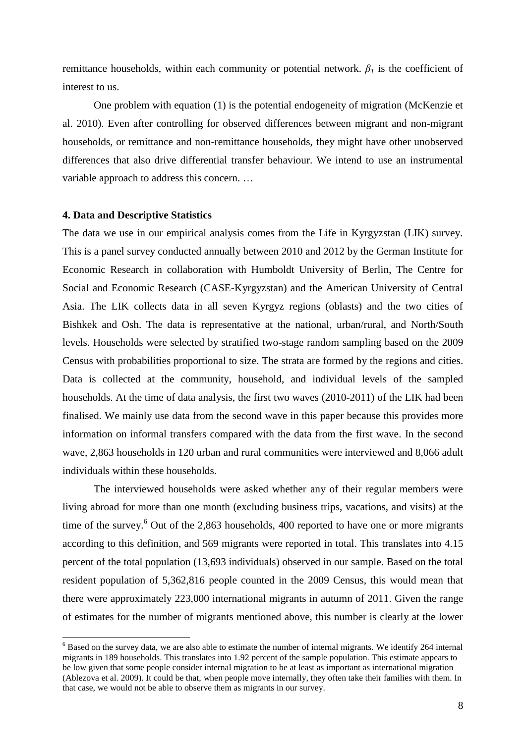remittance households, within each community or potential network.  $\beta_l$  is the coefficient of interest to us.

One problem with equation (1) is the potential endogeneity of migration (McKenzie et al. 2010). Even after controlling for observed differences between migrant and non-migrant households, or remittance and non-remittance households, they might have other unobserved differences that also drive differential transfer behaviour. We intend to use an instrumental variable approach to address this concern. …

#### **4. Data and Descriptive Statistics**

1

The data we use in our empirical analysis comes from the Life in Kyrgyzstan (LIK) survey. This is a panel survey conducted annually between 2010 and 2012 by the German Institute for Economic Research in collaboration with Humboldt University of Berlin, The Centre for Social and Economic Research (CASE-Kyrgyzstan) and the American University of Central Asia. The LIK collects data in all seven Kyrgyz regions (oblasts) and the two cities of Bishkek and Osh. The data is representative at the national, urban/rural, and North/South levels. Households were selected by stratified two-stage random sampling based on the 2009 Census with probabilities proportional to size. The strata are formed by the regions and cities. Data is collected at the community, household, and individual levels of the sampled households. At the time of data analysis, the first two waves (2010-2011) of the LIK had been finalised. We mainly use data from the second wave in this paper because this provides more information on informal transfers compared with the data from the first wave. In the second wave, 2,863 households in 120 urban and rural communities were interviewed and 8,066 adult individuals within these households.

The interviewed households were asked whether any of their regular members were living abroad for more than one month (excluding business trips, vacations, and visits) at the time of the survey.<sup>6</sup> Out of the 2,863 households, 400 reported to have one or more migrants according to this definition, and 569 migrants were reported in total. This translates into 4.15 percent of the total population (13,693 individuals) observed in our sample. Based on the total resident population of 5,362,816 people counted in the 2009 Census, this would mean that there were approximately 223,000 international migrants in autumn of 2011. Given the range of estimates for the number of migrants mentioned above, this number is clearly at the lower

 $6$  Based on the survey data, we are also able to estimate the number of internal migrants. We identify 264 internal migrants in 189 households. This translates into 1.92 percent of the sample population. This estimate appears to be low given that some people consider internal migration to be at least as important as international migration (Ablezova et al. 2009). It could be that, when people move internally, they often take their families with them. In that case, we would not be able to observe them as migrants in our survey.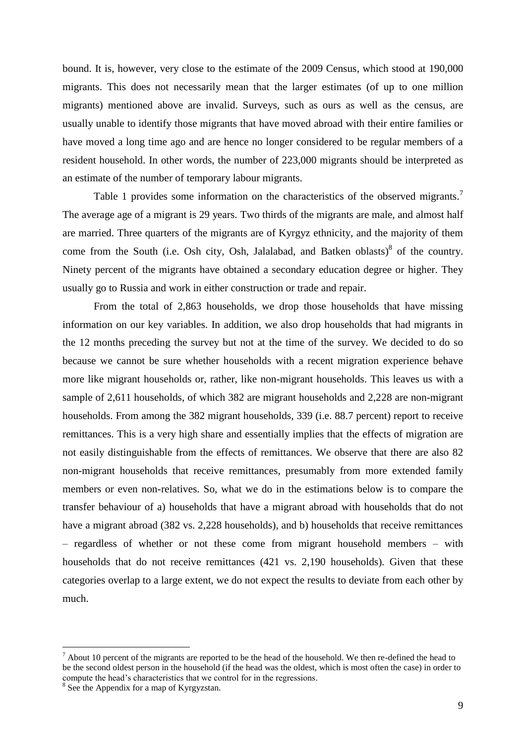bound. It is, however, very close to the estimate of the 2009 Census, which stood at 190,000 migrants. This does not necessarily mean that the larger estimates (of up to one million migrants) mentioned above are invalid. Surveys, such as ours as well as the census, are usually unable to identify those migrants that have moved abroad with their entire families or have moved a long time ago and are hence no longer considered to be regular members of a resident household. In other words, the number of 223,000 migrants should be interpreted as an estimate of the number of temporary labour migrants.

Table 1 provides some information on the characteristics of the observed migrants.<sup>7</sup> The average age of a migrant is 29 years. Two thirds of the migrants are male, and almost half are married. Three quarters of the migrants are of Kyrgyz ethnicity, and the majority of them come from the South (i.e. Osh city, Osh, Jalalabad, and Batken oblasts) $\delta$  of the country. Ninety percent of the migrants have obtained a secondary education degree or higher. They usually go to Russia and work in either construction or trade and repair.

From the total of 2,863 households, we drop those households that have missing information on our key variables. In addition, we also drop households that had migrants in the 12 months preceding the survey but not at the time of the survey. We decided to do so because we cannot be sure whether households with a recent migration experience behave more like migrant households or, rather, like non-migrant households. This leaves us with a sample of 2,611 households, of which 382 are migrant households and 2,228 are non-migrant households. From among the 382 migrant households, 339 (i.e. 88.7 percent) report to receive remittances. This is a very high share and essentially implies that the effects of migration are not easily distinguishable from the effects of remittances. We observe that there are also 82 non-migrant households that receive remittances, presumably from more extended family members or even non-relatives. So, what we do in the estimations below is to compare the transfer behaviour of a) households that have a migrant abroad with households that do not have a migrant abroad (382 vs. 2,228 households), and b) households that receive remittances – regardless of whether or not these come from migrant household members – with households that do not receive remittances (421 vs. 2,190 households). Given that these categories overlap to a large extent, we do not expect the results to deviate from each other by much.

1

 $<sup>7</sup>$  About 10 percent of the migrants are reported to be the head of the household. We then re-defined the head to</sup> be the second oldest person in the household (if the head was the oldest, which is most often the case) in order to compute the head's characteristics that we control for in the regressions.

<sup>&</sup>lt;sup>8</sup> See the Appendix for a map of Kyrgyzstan.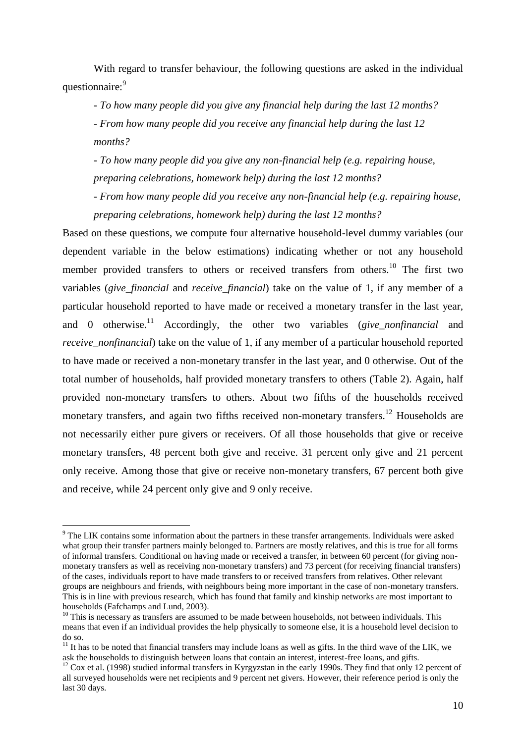With regard to transfer behaviour, the following questions are asked in the individual questionnaire:<sup>9</sup>

- *To how many people did you give any financial help during the last 12 months?*

*- From how many people did you receive any financial help during the last 12 months?*

- *To how many people did you give any non-financial help (e.g. repairing house, preparing celebrations, homework help) during the last 12 months?*

*- From how many people did you receive any non-financial help (e.g. repairing house, preparing celebrations, homework help) during the last 12 months?*

Based on these questions, we compute four alternative household-level dummy variables (our dependent variable in the below estimations) indicating whether or not any household member provided transfers to others or received transfers from others.<sup>10</sup> The first two variables (*give\_financial* and *receive\_financial*) take on the value of 1, if any member of a particular household reported to have made or received a monetary transfer in the last year, and 0 otherwise.<sup>11</sup> Accordingly, the other two variables (*give\_nonfinancial* and *receive nonfinancial*) take on the value of 1, if any member of a particular household reported to have made or received a non-monetary transfer in the last year, and 0 otherwise. Out of the total number of households, half provided monetary transfers to others (Table 2). Again, half provided non-monetary transfers to others. About two fifths of the households received monetary transfers, and again two fifths received non-monetary transfers.<sup>12</sup> Households are not necessarily either pure givers or receivers. Of all those households that give or receive monetary transfers, 48 percent both give and receive. 31 percent only give and 21 percent only receive. Among those that give or receive non-monetary transfers, 67 percent both give and receive, while 24 percent only give and 9 only receive.

<u>.</u>

<sup>&</sup>lt;sup>9</sup> The LIK contains some information about the partners in these transfer arrangements. Individuals were asked what group their transfer partners mainly belonged to. Partners are mostly relatives, and this is true for all forms of informal transfers. Conditional on having made or received a transfer, in between 60 percent (for giving nonmonetary transfers as well as receiving non-monetary transfers) and 73 percent (for receiving financial transfers) of the cases, individuals report to have made transfers to or received transfers from relatives. Other relevant groups are neighbours and friends, with neighbours being more important in the case of non-monetary transfers. This is in line with previous research, which has found that family and kinship networks are most important to households (Fafchamps and Lund, 2003).

 $10$  This is necessary as transfers are assumed to be made between households, not between individuals. This means that even if an individual provides the help physically to someone else, it is a household level decision to do so.

 $11$  It has to be noted that financial transfers may include loans as well as gifts. In the third wave of the LIK, we ask the households to distinguish between loans that contain an interest, interest-free loans, and gifts.

<sup>&</sup>lt;sup>12</sup> Cox et al. (1998) studied informal transfers in Kyrgyzstan in the early 1990s. They find that only 12 percent of all surveyed households were net recipients and 9 percent net givers. However, their reference period is only the last 30 days.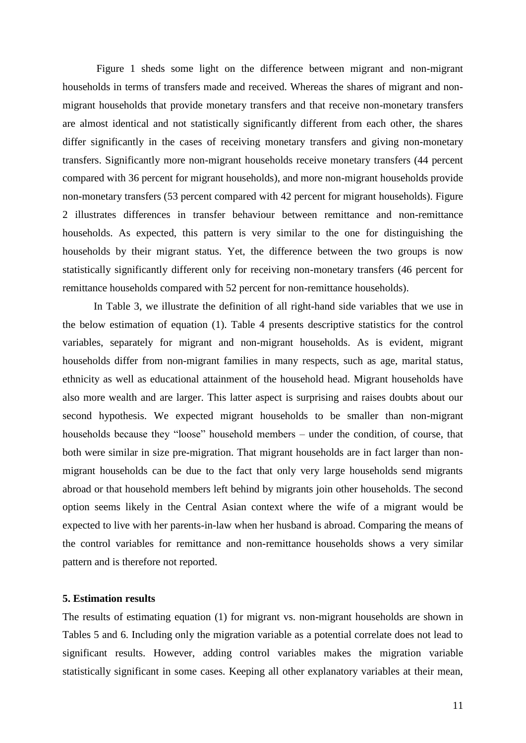Figure 1 sheds some light on the difference between migrant and non-migrant households in terms of transfers made and received. Whereas the shares of migrant and nonmigrant households that provide monetary transfers and that receive non-monetary transfers are almost identical and not statistically significantly different from each other, the shares differ significantly in the cases of receiving monetary transfers and giving non-monetary transfers. Significantly more non-migrant households receive monetary transfers (44 percent compared with 36 percent for migrant households), and more non-migrant households provide non-monetary transfers (53 percent compared with 42 percent for migrant households). Figure 2 illustrates differences in transfer behaviour between remittance and non-remittance households. As expected, this pattern is very similar to the one for distinguishing the households by their migrant status. Yet, the difference between the two groups is now statistically significantly different only for receiving non-monetary transfers (46 percent for remittance households compared with 52 percent for non-remittance households).

In Table 3, we illustrate the definition of all right-hand side variables that we use in the below estimation of equation (1). Table 4 presents descriptive statistics for the control variables, separately for migrant and non-migrant households. As is evident, migrant households differ from non-migrant families in many respects, such as age, marital status, ethnicity as well as educational attainment of the household head. Migrant households have also more wealth and are larger. This latter aspect is surprising and raises doubts about our second hypothesis. We expected migrant households to be smaller than non-migrant households because they "loose" household members – under the condition, of course, that both were similar in size pre-migration. That migrant households are in fact larger than nonmigrant households can be due to the fact that only very large households send migrants abroad or that household members left behind by migrants join other households. The second option seems likely in the Central Asian context where the wife of a migrant would be expected to live with her parents-in-law when her husband is abroad. Comparing the means of the control variables for remittance and non-remittance households shows a very similar pattern and is therefore not reported.

### **5. Estimation results**

The results of estimating equation (1) for migrant vs. non-migrant households are shown in Tables 5 and 6. Including only the migration variable as a potential correlate does not lead to significant results. However, adding control variables makes the migration variable statistically significant in some cases. Keeping all other explanatory variables at their mean,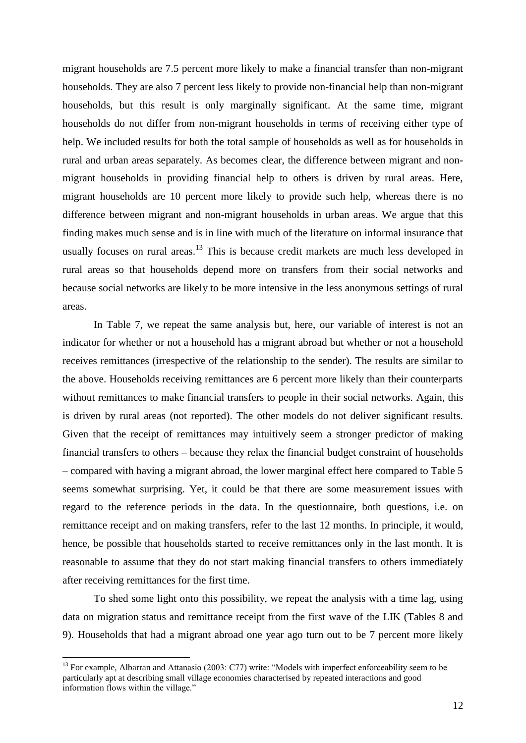migrant households are 7.5 percent more likely to make a financial transfer than non-migrant households. They are also 7 percent less likely to provide non-financial help than non-migrant households, but this result is only marginally significant. At the same time, migrant households do not differ from non-migrant households in terms of receiving either type of help. We included results for both the total sample of households as well as for households in rural and urban areas separately. As becomes clear, the difference between migrant and nonmigrant households in providing financial help to others is driven by rural areas. Here, migrant households are 10 percent more likely to provide such help, whereas there is no difference between migrant and non-migrant households in urban areas. We argue that this finding makes much sense and is in line with much of the literature on informal insurance that usually focuses on rural areas.<sup>13</sup> This is because credit markets are much less developed in rural areas so that households depend more on transfers from their social networks and because social networks are likely to be more intensive in the less anonymous settings of rural areas.

In Table 7, we repeat the same analysis but, here, our variable of interest is not an indicator for whether or not a household has a migrant abroad but whether or not a household receives remittances (irrespective of the relationship to the sender). The results are similar to the above. Households receiving remittances are 6 percent more likely than their counterparts without remittances to make financial transfers to people in their social networks. Again, this is driven by rural areas (not reported). The other models do not deliver significant results. Given that the receipt of remittances may intuitively seem a stronger predictor of making financial transfers to others – because they relax the financial budget constraint of households – compared with having a migrant abroad, the lower marginal effect here compared to Table 5 seems somewhat surprising. Yet, it could be that there are some measurement issues with regard to the reference periods in the data. In the questionnaire, both questions, i.e. on remittance receipt and on making transfers, refer to the last 12 months. In principle, it would, hence, be possible that households started to receive remittances only in the last month. It is reasonable to assume that they do not start making financial transfers to others immediately after receiving remittances for the first time.

To shed some light onto this possibility, we repeat the analysis with a time lag, using data on migration status and remittance receipt from the first wave of the LIK (Tables 8 and 9). Households that had a migrant abroad one year ago turn out to be 7 percent more likely

<u>.</u>

<sup>&</sup>lt;sup>13</sup> For example, Albarran and Attanasio (2003: C77) write: "Models with imperfect enforceability seem to be particularly apt at describing small village economies characterised by repeated interactions and good information flows within the village."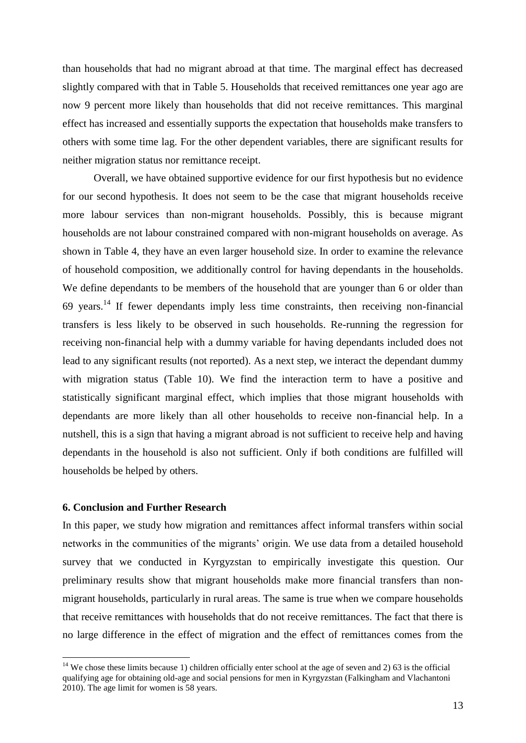than households that had no migrant abroad at that time. The marginal effect has decreased slightly compared with that in Table 5. Households that received remittances one year ago are now 9 percent more likely than households that did not receive remittances. This marginal effect has increased and essentially supports the expectation that households make transfers to others with some time lag. For the other dependent variables, there are significant results for neither migration status nor remittance receipt.

Overall, we have obtained supportive evidence for our first hypothesis but no evidence for our second hypothesis. It does not seem to be the case that migrant households receive more labour services than non-migrant households. Possibly, this is because migrant households are not labour constrained compared with non-migrant households on average. As shown in Table 4, they have an even larger household size. In order to examine the relevance of household composition, we additionally control for having dependants in the households. We define dependants to be members of the household that are younger than 6 or older than 69 years.<sup>14</sup> If fewer dependants imply less time constraints, then receiving non-financial transfers is less likely to be observed in such households. Re-running the regression for receiving non-financial help with a dummy variable for having dependants included does not lead to any significant results (not reported). As a next step, we interact the dependant dummy with migration status (Table 10). We find the interaction term to have a positive and statistically significant marginal effect, which implies that those migrant households with dependants are more likely than all other households to receive non-financial help. In a nutshell, this is a sign that having a migrant abroad is not sufficient to receive help and having dependants in the household is also not sufficient. Only if both conditions are fulfilled will households be helped by others.

### **6. Conclusion and Further Research**

<u>.</u>

In this paper, we study how migration and remittances affect informal transfers within social networks in the communities of the migrants' origin. We use data from a detailed household survey that we conducted in Kyrgyzstan to empirically investigate this question. Our preliminary results show that migrant households make more financial transfers than nonmigrant households, particularly in rural areas. The same is true when we compare households that receive remittances with households that do not receive remittances. The fact that there is no large difference in the effect of migration and the effect of remittances comes from the

<sup>&</sup>lt;sup>14</sup> We chose these limits because 1) children officially enter school at the age of seven and 2) 63 is the official qualifying age for obtaining old-age and social pensions for men in Kyrgyzstan (Falkingham and Vlachantoni 2010). The age limit for women is 58 years.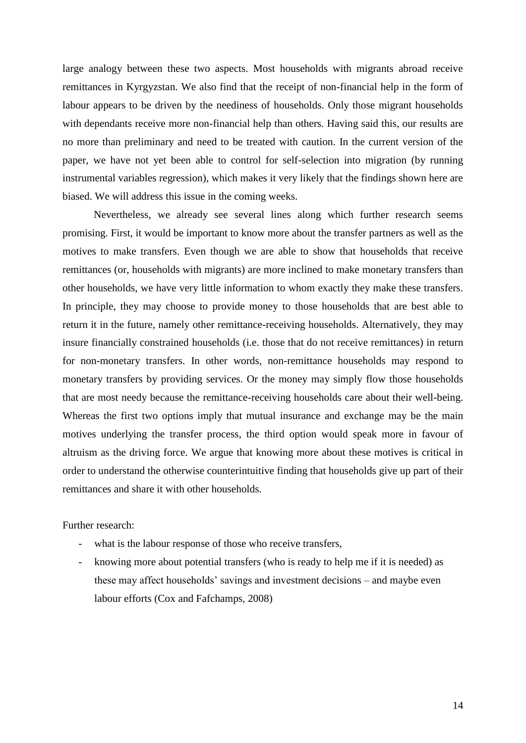large analogy between these two aspects. Most households with migrants abroad receive remittances in Kyrgyzstan. We also find that the receipt of non-financial help in the form of labour appears to be driven by the neediness of households. Only those migrant households with dependants receive more non-financial help than others. Having said this, our results are no more than preliminary and need to be treated with caution. In the current version of the paper, we have not yet been able to control for self-selection into migration (by running instrumental variables regression), which makes it very likely that the findings shown here are biased. We will address this issue in the coming weeks.

Nevertheless, we already see several lines along which further research seems promising. First, it would be important to know more about the transfer partners as well as the motives to make transfers. Even though we are able to show that households that receive remittances (or, households with migrants) are more inclined to make monetary transfers than other households, we have very little information to whom exactly they make these transfers. In principle, they may choose to provide money to those households that are best able to return it in the future, namely other remittance-receiving households. Alternatively, they may insure financially constrained households (i.e. those that do not receive remittances) in return for non-monetary transfers. In other words, non-remittance households may respond to monetary transfers by providing services. Or the money may simply flow those households that are most needy because the remittance-receiving households care about their well-being. Whereas the first two options imply that mutual insurance and exchange may be the main motives underlying the transfer process, the third option would speak more in favour of altruism as the driving force. We argue that knowing more about these motives is critical in order to understand the otherwise counterintuitive finding that households give up part of their remittances and share it with other households.

Further research:

- what is the labour response of those who receive transfers,
- knowing more about potential transfers (who is ready to help me if it is needed) as these may affect households' savings and investment decisions – and maybe even labour efforts (Cox and Fafchamps, 2008)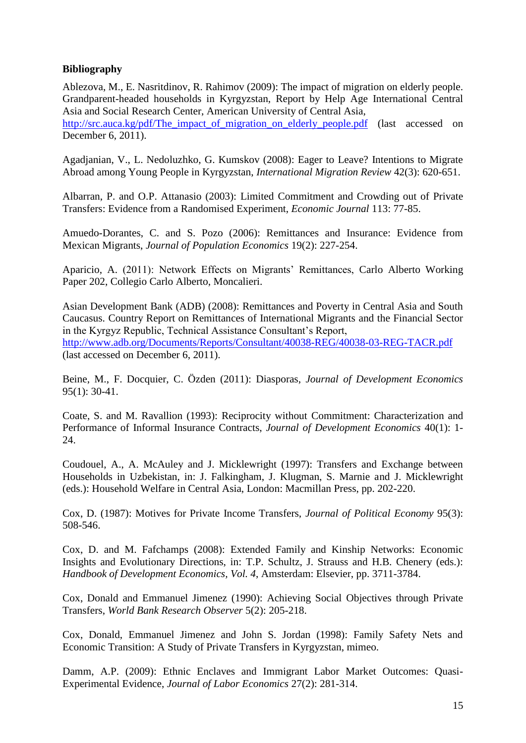## **Bibliography**

Ablezova, M., E. Nasritdinov, R. Rahimov (2009): The impact of migration on elderly people. Grandparent-headed households in Kyrgyzstan, Report by Help Age International Central Asia and Social Research Center, American University of Central Asia, http://src.auca.kg/pdf/The impact of migration on elderly people.pdf (last accessed on December 6, 2011).

Agadjanian, V., L. Nedoluzhko, G. Kumskov (2008): Eager to Leave? Intentions to Migrate Abroad among Young People in Kyrgyzstan, *International Migration Review* 42(3): 620-651.

Albarran, P. and O.P. Attanasio (2003): Limited Commitment and Crowding out of Private Transfers: Evidence from a Randomised Experiment, *Economic Journal* 113: 77-85.

Amuedo-Dorantes, C. and S. Pozo (2006): Remittances and Insurance: Evidence from Mexican Migrants, *Journal of Population Economics* 19(2): 227-254.

Aparicio, A. (2011): Network Effects on Migrants' Remittances, Carlo Alberto Working Paper 202, Collegio Carlo Alberto, Moncalieri.

Asian Development Bank (ADB) (2008): Remittances and Poverty in Central Asia and South Caucasus. Country Report on Remittances of International Migrants and the Financial Sector in the Kyrgyz Republic, Technical Assistance Consultant's Report, <http://www.adb.org/Documents/Reports/Consultant/40038-REG/40038-03-REG-TACR.pdf> (last accessed on December 6, 2011).

Beine, M., F. Docquier, C. Özden (2011): Diasporas, *Journal of Development Economics* 95(1): 30-41.

Coate, S. and M. Ravallion (1993): Reciprocity without Commitment: Characterization and Performance of Informal Insurance Contracts, *Journal of Development Economics* 40(1): 1- 24.

Coudouel, A., A. McAuley and J. Micklewright (1997): Transfers and Exchange between Households in Uzbekistan, in: J. Falkingham, J. Klugman, S. Marnie and J. Micklewright (eds.): Household Welfare in Central Asia, London: Macmillan Press, pp. 202-220.

Cox, D. (1987): Motives for Private Income Transfers, *Journal of Political Economy* 95(3): 508-546.

Cox, D. and M. Fafchamps (2008): Extended Family and Kinship Networks: Economic Insights and Evolutionary Directions, in: T.P. Schultz, J. Strauss and H.B. Chenery (eds.): *Handbook of Development Economics, Vol. 4*, Amsterdam: Elsevier, pp. 3711-3784.

Cox, Donald and Emmanuel Jimenez (1990): Achieving Social Objectives through Private Transfers, *World Bank Research Observer* 5(2): 205-218.

Cox, Donald, Emmanuel Jimenez and John S. Jordan (1998): Family Safety Nets and Economic Transition: A Study of Private Transfers in Kyrgyzstan, mimeo.

Damm, A.P. (2009): Ethnic Enclaves and Immigrant Labor Market Outcomes: Quasi-Experimental Evidence, *Journal of Labor Economics* 27(2): 281-314.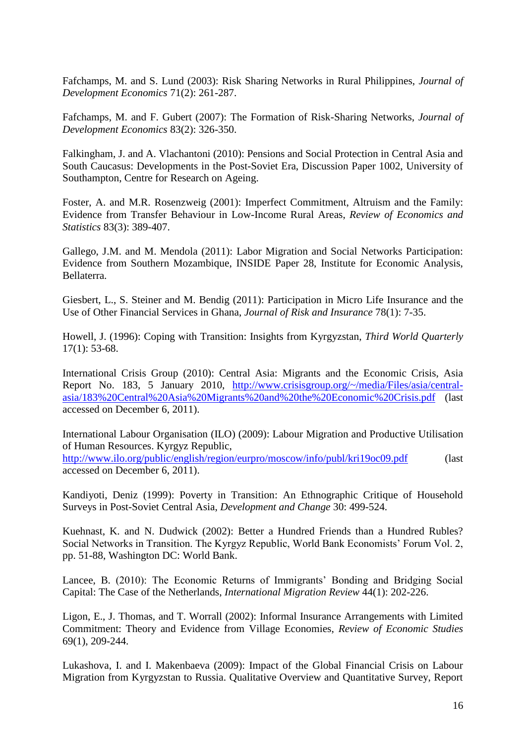Fafchamps, M. and S. Lund (2003): Risk Sharing Networks in Rural Philippines, *Journal of Development Economics* 71(2): 261-287.

Fafchamps, M. and F. Gubert (2007): The Formation of Risk-Sharing Networks, *Journal of Development Economics* 83(2): 326-350.

Falkingham, J. and A. Vlachantoni (2010): Pensions and Social Protection in Central Asia and South Caucasus: Developments in the Post-Soviet Era, Discussion Paper 1002, University of Southampton, Centre for Research on Ageing.

Foster, A. and M.R. Rosenzweig (2001): Imperfect Commitment, Altruism and the Family: Evidence from Transfer Behaviour in Low-Income Rural Areas, *Review of Economics and Statistics* 83(3): 389-407.

Gallego, J.M. and M. Mendola (2011): Labor Migration and Social Networks Participation: Evidence from Southern Mozambique, INSIDE Paper 28, Institute for Economic Analysis, Bellaterra.

Giesbert, L., S. Steiner and M. Bendig (2011): Participation in Micro Life Insurance and the Use of Other Financial Services in Ghana, *Journal of Risk and Insurance* 78(1): 7-35.

Howell, J. (1996): Coping with Transition: Insights from Kyrgyzstan, *Third World Quarterly*  $17(1)$ : 53-68.

International Crisis Group (2010): Central Asia: Migrants and the Economic Crisis, Asia Report No. 183, 5 January 2010, [http://www.crisisgroup.org/~/media/Files/asia/central](http://www.crisisgroup.org/~/media/Files/asia/central-asia/183%20Central%20Asia%20Migrants%20and%20the%20Economic%20Crisis.pdf)[asia/183%20Central%20Asia%20Migrants%20and%20the%20Economic%20Crisis.pdf](http://www.crisisgroup.org/~/media/Files/asia/central-asia/183%20Central%20Asia%20Migrants%20and%20the%20Economic%20Crisis.pdf) (last accessed on December 6, 2011).

International Labour Organisation (ILO) (2009): Labour Migration and Productive Utilisation of Human Resources. Kyrgyz Republic,

<http://www.ilo.org/public/english/region/eurpro/moscow/info/publ/kri19oc09.pdf> (last accessed on December 6, 2011).

Kandiyoti, Deniz (1999): Poverty in Transition: An Ethnographic Critique of Household Surveys in Post-Soviet Central Asia, *Development and Change* 30: 499-524.

Kuehnast, K. and N. Dudwick (2002): Better a Hundred Friends than a Hundred Rubles? Social Networks in Transition. The Kyrgyz Republic, World Bank Economists' Forum Vol. 2, pp. 51-88, Washington DC: World Bank.

Lancee, B. (2010): The Economic Returns of Immigrants' Bonding and Bridging Social Capital: The Case of the Netherlands, *International Migration Review* 44(1): 202-226.

Ligon, E., J. Thomas, and T. Worrall (2002): Informal Insurance Arrangements with Limited Commitment: Theory and Evidence from Village Economies, *Review of Economic Studies*  69(1), 209-244.

Lukashova, I. and I. Makenbaeva (2009): Impact of the Global Financial Crisis on Labour Migration from Kyrgyzstan to Russia. Qualitative Overview and Quantitative Survey, Report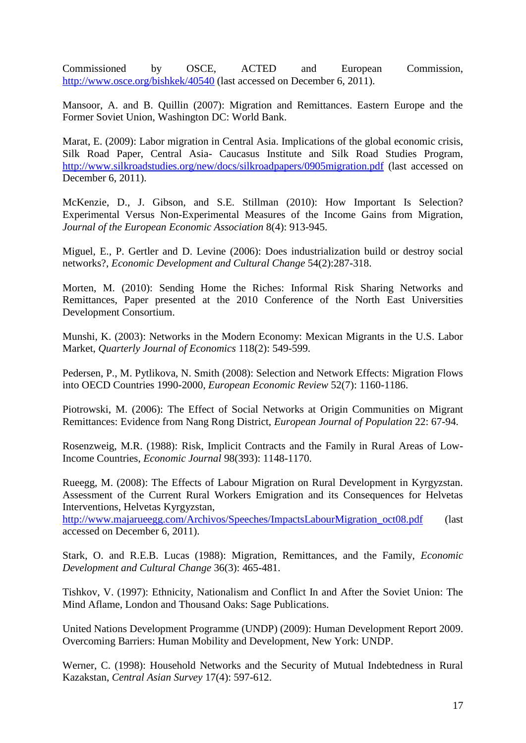Commissioned by OSCE, ACTED and European Commission, <http://www.osce.org/bishkek/40540> (last accessed on December 6, 2011).

Mansoor, A. and B. Quillin (2007): Migration and Remittances. Eastern Europe and the Former Soviet Union, Washington DC: World Bank.

Marat, E. (2009): Labor migration in Central Asia. Implications of the global economic crisis, Silk Road Paper, Central Asia- Caucasus Institute and Silk Road Studies Program, <http://www.silkroadstudies.org/new/docs/silkroadpapers/0905migration.pdf> (last accessed on December 6, 2011).

McKenzie, D., J. Gibson, and S.E. Stillman (2010): How Important Is Selection? Experimental Versus Non-Experimental Measures of the Income Gains from Migration, *Journal of the European Economic Association* 8(4): 913-945.

Miguel, E., P. Gertler and D. Levine (2006): Does industrialization build or destroy social networks?, *Economic Development and Cultural Change* 54(2):287-318.

Morten, M. (2010): Sending Home the Riches: Informal Risk Sharing Networks and Remittances, Paper presented at the 2010 Conference of the North East Universities Development Consortium.

Munshi, K. (2003): Networks in the Modern Economy: Mexican Migrants in the U.S. Labor Market, *Quarterly Journal of Economics* 118(2): 549-599.

Pedersen, P., M. Pytlikova, N. Smith (2008): Selection and Network Effects: Migration Flows into OECD Countries 1990-2000, *European Economic Review* 52(7): 1160-1186.

Piotrowski, M. (2006): The Effect of Social Networks at Origin Communities on Migrant Remittances: Evidence from Nang Rong District, *European Journal of Population* 22: 67-94.

Rosenzweig, M.R. (1988): Risk, Implicit Contracts and the Family in Rural Areas of Low-Income Countries, *Economic Journal* 98(393): 1148-1170.

Rueegg, M. (2008): The Effects of Labour Migration on Rural Development in Kyrgyzstan. Assessment of the Current Rural Workers Emigration and its Consequences for Helvetas Interventions, Helvetas Kyrgyzstan,

[http://www.majarueegg.com/Archivos/Speeches/ImpactsLabourMigration\\_oct08.pdf](http://www.majarueegg.com/Archivos/Speeches/ImpactsLabourMigration_oct08.pdf) (last accessed on December 6, 2011).

Stark, O. and R.E.B. Lucas (1988): Migration, Remittances, and the Family, *Economic Development and Cultural Change* 36(3): 465-481.

Tishkov, V. (1997): Ethnicity, Nationalism and Conflict In and After the Soviet Union: The Mind Aflame, London and Thousand Oaks: Sage Publications.

United Nations Development Programme (UNDP) (2009): Human Development Report 2009. Overcoming Barriers: Human Mobility and Development, New York: UNDP.

Werner, C. (1998): Household Networks and the Security of Mutual Indebtedness in Rural Kazakstan, *Central Asian Survey* 17(4): 597-612.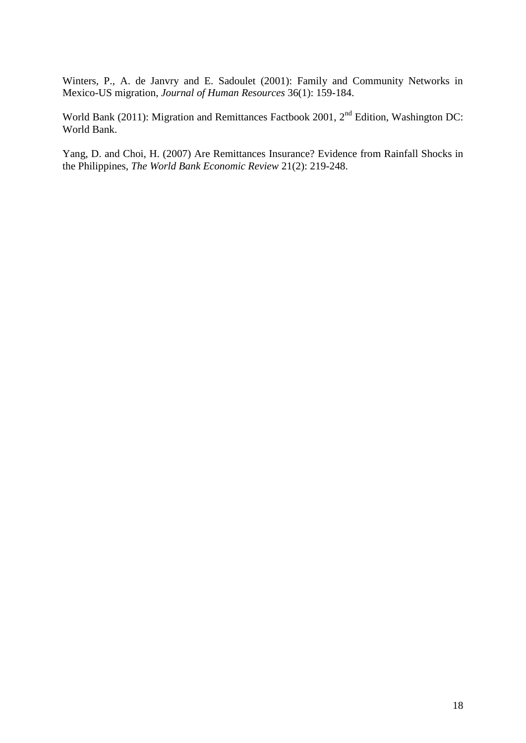Winters, P., A. de Janvry and E. Sadoulet (2001): Family and Community Networks in Mexico-US migration, *Journal of Human Resources* 36(1): 159-184.

World Bank (2011): Migration and Remittances Factbook 2001, 2<sup>nd</sup> Edition, Washington DC: World Bank.

Yang, D. and Choi, H. (2007) Are Remittances Insurance? Evidence from Rainfall Shocks in the Philippines, *The World Bank Economic Review* 21(2): 219-248.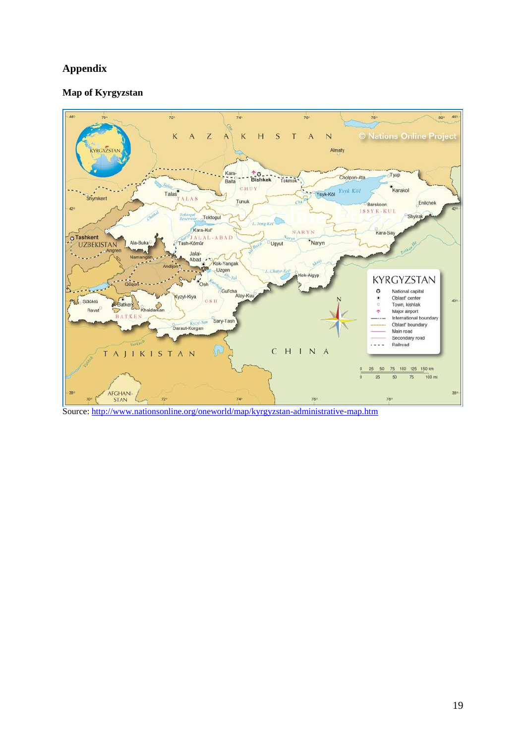# **Appendix**

## **Map of Kyrgyzstan**



Source:<http://www.nationsonline.org/oneworld/map/kyrgyzstan-administrative-map.htm>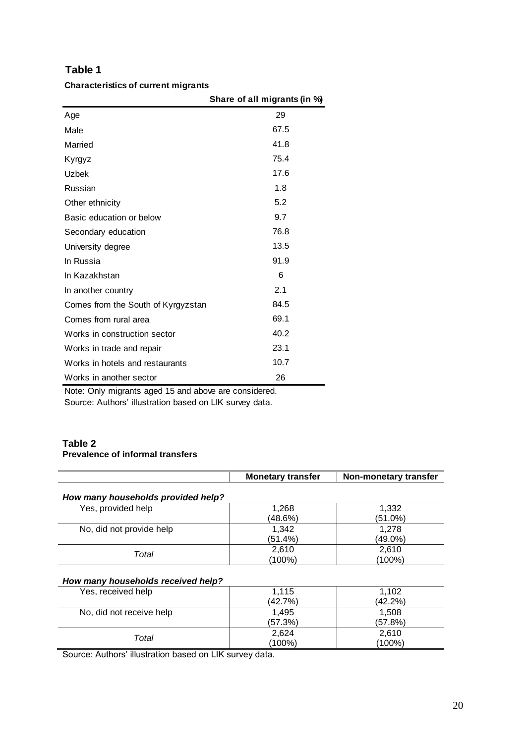### **Characteristics of current migrants**

|                                    | Share of all migrants (in %) |
|------------------------------------|------------------------------|
| Age                                | 29                           |
| Male                               | 67.5                         |
| Married                            | 41.8                         |
| Kyrgyz                             | 75.4                         |
| Uzbek                              | 17.6                         |
| Russian                            | 1.8                          |
| Other ethnicity                    | 5.2                          |
| Basic education or below           | 9.7                          |
| Secondary education                | 76.8                         |
| University degree                  | 13.5                         |
| In Russia                          | 91.9                         |
| In Kazakhstan                      | 6                            |
| In another country                 | 2.1                          |
| Comes from the South of Kyrgyzstan | 84.5                         |
| Comes from rural area              | 69.1                         |
| Works in construction sector       | 40.2                         |
| Works in trade and repair          | 23.1                         |
| Works in hotels and restaurants    | 10.7                         |
| Works in another sector            | 26                           |

Note: Only migrants aged 15 and above are considered.

Source: Authors' illustration based on LIK survey data.

# **Table 2**

## **Prevalence of informal transfers**

|                                    | <b>Monetary transfer</b> | Non-monetary transfer |
|------------------------------------|--------------------------|-----------------------|
| How many households provided help? |                          |                       |
| Yes, provided help                 | 1,268                    | 1,332                 |
|                                    | (48.6%)                  | $(51.0\%)$            |
| No, did not provide help           | 1,342                    | 1,278                 |
|                                    | (51.4%)                  | (49.0%)               |
| Total                              | 2,610                    | 2,610                 |
|                                    | (100%)                   | (100%)                |
| How many households received help? |                          |                       |
| Yes, received help                 | 1,115                    | 1.102                 |
|                                    | (42.7%)                  | (42.2%)               |
| No, did not receive help           | 1,495                    | 1,508                 |
|                                    | (57.3%)                  | (57.8%)               |
| Total                              | 2,624                    | 2,610                 |
|                                    | (100%)                   | (100%)                |
|                                    | . .                      |                       |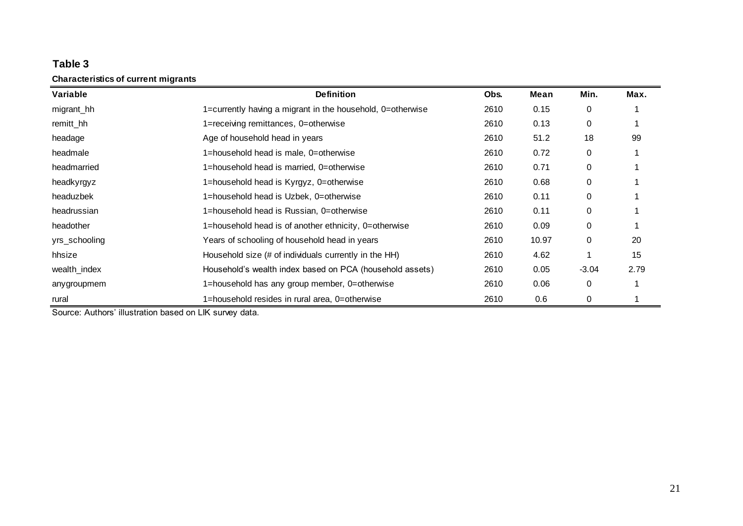**Characteristics of current migrants**

| Variable      | <b>Definition</b>                                          | Obs. | Mean  | Min.        | Max. |
|---------------|------------------------------------------------------------|------|-------|-------------|------|
| migrant_hh    | 1=currently having a migrant in the household, 0=otherwise | 2610 | 0.15  | 0           |      |
| remitt_hh     | 1=receiving remittances, 0=otherwise                       | 2610 | 0.13  | $\mathbf 0$ |      |
| headage       | Age of household head in years                             | 2610 | 51.2  | 18          | 99   |
| headmale      | 1=household head is male, 0=otherwise                      | 2610 | 0.72  | $\mathbf 0$ |      |
| headmarried   | 1=household head is married, 0=otherwise                   | 2610 | 0.71  | $\mathbf 0$ |      |
| headkyrgyz    | 1=household head is Kyrgyz, 0=otherwise                    | 2610 | 0.68  | 0           |      |
| headuzbek     | 1=household head is Uzbek, 0=otherwise                     | 2610 | 0.11  | $\mathbf 0$ |      |
| headrussian   | 1=household head is Russian, 0=otherwise                   | 2610 | 0.11  | $\mathbf 0$ |      |
| headother     | 1=household head is of another ethnicity, 0=otherwise      | 2610 | 0.09  | $\mathbf 0$ |      |
| yrs_schooling | Years of schooling of household head in years              | 2610 | 10.97 | $\mathbf 0$ | 20   |
| hhsize        | Household size (# of individuals currently in the HH)      | 2610 | 4.62  |             | 15   |
| wealth_index  | Household's wealth index based on PCA (household assets)   | 2610 | 0.05  | $-3.04$     | 2.79 |
| anygroupmem   | 1=household has any group member, 0=otherwise              | 2610 | 0.06  | 0           |      |
| rural         | 1=household resides in rural area, 0=otherwise             | 2610 | 0.6   | 0           |      |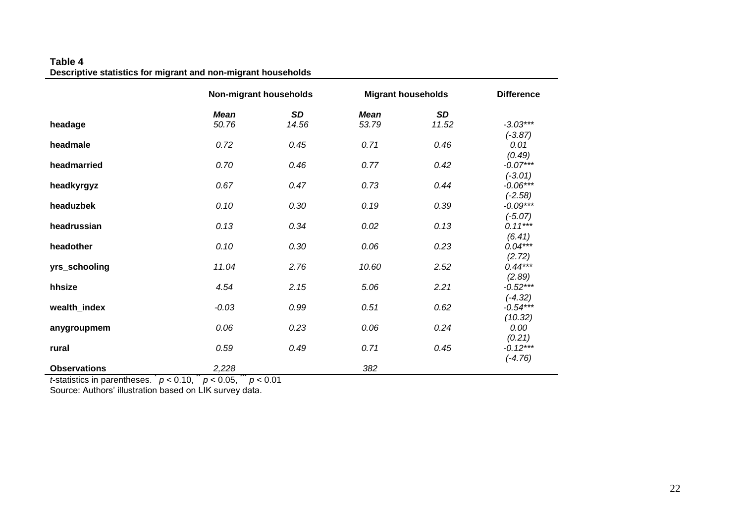#### **Table 4 Descriptive statistics for migrant and non-migrant households**

|                     | Non-migrant households |           | <b>Migrant households</b> | <b>Difference</b> |                         |
|---------------------|------------------------|-----------|---------------------------|-------------------|-------------------------|
|                     | <b>Mean</b>            | <b>SD</b> | <b>Mean</b>               | <b>SD</b>         |                         |
| headage             | 50.76                  | 14.56     | 53.79                     | 11.52             | $-3.03***$              |
|                     |                        |           |                           |                   | $(-3.87)$               |
| headmale            | 0.72                   | 0.45      | 0.71                      | 0.46              | 0.01                    |
|                     |                        |           |                           |                   | (0.49)                  |
| headmarried         | 0.70                   | 0.46      | 0.77                      | 0.42              | $-0.07***$              |
|                     |                        |           |                           |                   | $(-3.01)$               |
| headkyrgyz          | 0.67                   | 0.47      | 0.73                      | 0.44              | $-0.06***$              |
| headuzbek           | 0.10                   | 0.30      | 0.19                      | 0.39              | $(-2.58)$<br>$-0.09***$ |
|                     |                        |           |                           |                   | $(-5.07)$               |
| headrussian         | 0.13                   | 0.34      | 0.02                      | 0.13              | $0.11***$               |
|                     |                        |           |                           |                   | (6.41)                  |
| headother           | 0.10                   | 0.30      | 0.06                      | 0.23              | $0.04***$               |
|                     |                        |           |                           |                   | (2.72)                  |
| yrs_schooling       | 11.04                  | 2.76      | 10.60                     | 2.52              | $0.44***$               |
|                     |                        |           |                           |                   | (2.89)                  |
| hhsize              | 4.54                   | 2.15      | 5.06                      | 2.21              | $-0.52***$              |
|                     |                        |           |                           |                   | $(-4.32)$               |
| wealth_index        | $-0.03$                | 0.99      | 0.51                      | 0.62              | $-0.54***$              |
|                     |                        |           |                           |                   | (10.32)                 |
| anygroupmem         | 0.06                   | 0.23      | 0.06                      | 0.24              | 0.00                    |
|                     |                        |           |                           |                   | (0.21)                  |
| rural               | 0.59                   | 0.49      | 0.71                      | 0.45              | $-0.12***$              |
|                     |                        |           |                           |                   | $(-4.76)$               |
| <b>Observations</b> | 2,228                  |           | 382                       |                   |                         |

*t*-statistics in parentheses.  $p < 0.10$ ,  $p < 0.05$ ,  $p < 0.01$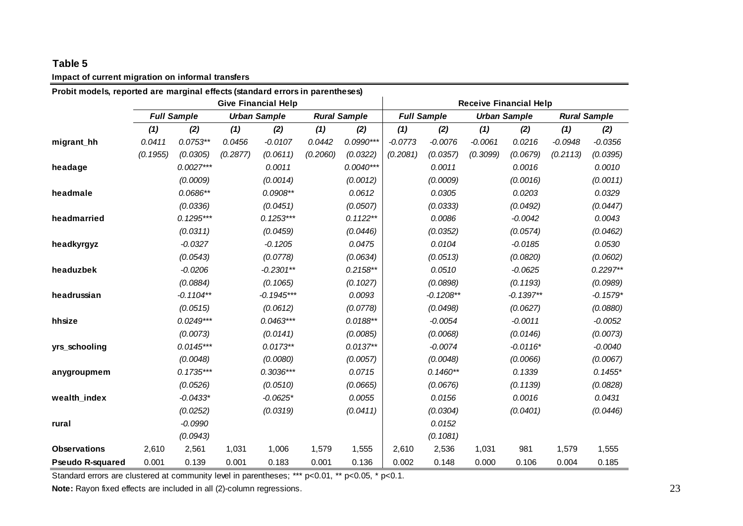## **Impact of current migration on informal transfers**

| Probit models, reported are marginal effects (standard errors in parentheses) |                            |                    |          |                     |                     |             |           |                               |                     |             |                     |            |  |
|-------------------------------------------------------------------------------|----------------------------|--------------------|----------|---------------------|---------------------|-------------|-----------|-------------------------------|---------------------|-------------|---------------------|------------|--|
|                                                                               | <b>Give Financial Help</b> |                    |          |                     |                     |             |           | <b>Receive Financial Help</b> |                     |             |                     |            |  |
|                                                                               |                            | <b>Full Sample</b> |          | <b>Urban Sample</b> | <b>Rural Sample</b> |             |           | <b>Full Sample</b>            | <b>Urban Sample</b> |             | <b>Rural Sample</b> |            |  |
|                                                                               | (1)                        | (2)                | (1)      | (2)                 | (1)                 | (2)         | (1)       | (2)                           | (1)                 | (2)         | (1)                 | (2)        |  |
| migrant_hh                                                                    | 0.0411                     | $0.0753**$         | 0.0456   | $-0.0107$           | 0.0442              | $0.0990***$ | $-0.0773$ | $-0.0076$                     | $-0.0061$           | 0.0216      | $-0.0948$           | $-0.0356$  |  |
|                                                                               | (0.1955)                   | (0.0305)           | (0.2877) | (0.0611)            | (0.2060)            | (0.0322)    | (0.2081)  | (0.0357)                      | (0.3099)            | (0.0679)    | (0.2113)            | (0.0395)   |  |
| headage                                                                       |                            | $0.0027***$        |          | 0.0011              |                     | $0.0040***$ |           | 0.0011                        |                     | 0.0016      |                     | 0.0010     |  |
|                                                                               |                            | (0.0009)           |          | (0.0014)            |                     | (0.0012)    |           | (0.0009)                      |                     | (0.0016)    |                     | (0.0011)   |  |
| headmale                                                                      |                            | $0.0686**$         |          | $0.0908**$          |                     | 0.0612      |           | 0.0305                        |                     | 0.0203      |                     | 0.0329     |  |
|                                                                               |                            | (0.0336)           |          | (0.0451)            |                     | (0.0507)    |           | (0.0333)                      |                     | (0.0492)    |                     | (0.0447)   |  |
| headmarried                                                                   |                            | $0.1295***$        |          | $0.1253***$         |                     | $0.1122**$  |           | 0.0086                        |                     | $-0.0042$   |                     | 0.0043     |  |
|                                                                               |                            | (0.0311)           |          | (0.0459)            |                     | (0.0446)    |           | (0.0352)                      |                     | (0.0574)    |                     | (0.0462)   |  |
| headkyrgyz                                                                    |                            | $-0.0327$          |          | $-0.1205$           |                     | 0.0475      |           | 0.0104                        |                     | $-0.0185$   |                     | 0.0530     |  |
|                                                                               |                            | (0.0543)           |          | (0.0778)            |                     | (0.0634)    |           | (0.0513)                      |                     | (0.0820)    |                     | (0.0602)   |  |
| headuzbek                                                                     |                            | $-0.0206$          |          | $-0.2301**$         |                     | $0.2158**$  |           | 0.0510                        |                     | $-0.0625$   |                     | $0.2297**$ |  |
|                                                                               |                            | (0.0884)           |          | (0.1065)            |                     | (0.1027)    |           | (0.0898)                      |                     | (0.1193)    |                     | (0.0989)   |  |
| headrussian                                                                   |                            | $-0.1104**$        |          | $-0.1945***$        |                     | 0.0093      |           | $-0.1208**$                   |                     | $-0.1397**$ |                     | $-0.1579*$ |  |
|                                                                               |                            | (0.0515)           |          | (0.0612)            |                     | (0.0778)    |           | (0.0498)                      |                     | (0.0627)    |                     | (0.0880)   |  |
| hhsize                                                                        |                            | $0.0249***$        |          | $0.0463***$         |                     | $0.0188**$  |           | $-0.0054$                     |                     | $-0.0011$   |                     | $-0.0052$  |  |
|                                                                               |                            | (0.0073)           |          | (0.0141)            |                     | (0.0085)    |           | (0.0068)                      |                     | (0.0146)    |                     | (0.0073)   |  |
| yrs_schooling                                                                 |                            | $0.0145***$        |          | $0.0173**$          |                     | $0.0137**$  |           | $-0.0074$                     |                     | $-0.0116*$  |                     | $-0.0040$  |  |
|                                                                               |                            | (0.0048)           |          | (0.0080)            |                     | (0.0057)    |           | (0.0048)                      |                     | (0.0066)    |                     | (0.0067)   |  |
| anygroupmem                                                                   |                            | $0.1735***$        |          | $0.3036***$         |                     | 0.0715      |           | $0.1460**$                    |                     | 0.1339      |                     | $0.1455*$  |  |
|                                                                               |                            | (0.0526)           |          | (0.0510)            |                     | (0.0665)    |           | (0.0676)                      |                     | (0.1139)    |                     | (0.0828)   |  |
| wealth index                                                                  |                            | $-0.0433*$         |          | $-0.0625*$          |                     | 0.0055      |           | 0.0156                        |                     | 0.0016      |                     | 0.0431     |  |
|                                                                               |                            | (0.0252)           |          | (0.0319)            |                     | (0.0411)    |           | (0.0304)                      |                     | (0.0401)    |                     | (0.0446)   |  |
| rural                                                                         |                            | $-0.0990$          |          |                     |                     |             |           | 0.0152                        |                     |             |                     |            |  |
|                                                                               |                            | (0.0943)           |          |                     |                     |             |           | (0.1081)                      |                     |             |                     |            |  |
| <b>Observations</b>                                                           | 2,610                      | 2,561              | 1,031    | 1,006               | 1,579               | 1,555       | 2,610     | 2,536                         | 1,031               | 981         | 1,579               | 1,555      |  |
| <b>Pseudo R-squared</b>                                                       | 0.001                      | 0.139              | 0.001    | 0.183               | 0.001               | 0.136       | 0.002     | 0.148                         | 0.000               | 0.106       | 0.004               | 0.185      |  |

Standard errors are clustered at community level in parentheses; \*\*\* p<0.01, \*\* p<0.05, \* p<0.1.

**Note:** Rayon fixed effects are included in all (2)-column regressions.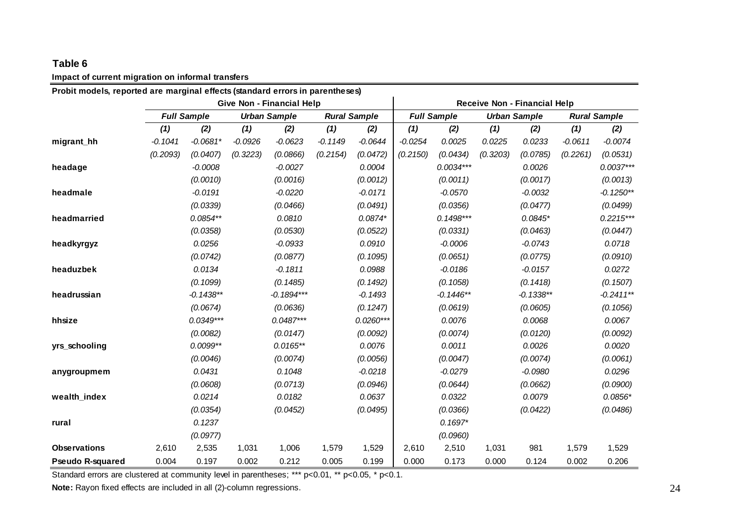### **Impact of current migration on informal transfers**

| Probit models, reported are marginal effects (standard errors in parentheses) |           |                    |                     |                           |                     |             |                              |                    |          |                     |           |                     |  |
|-------------------------------------------------------------------------------|-----------|--------------------|---------------------|---------------------------|---------------------|-------------|------------------------------|--------------------|----------|---------------------|-----------|---------------------|--|
|                                                                               |           |                    |                     | Give Non - Financial Help |                     |             | Receive Non - Financial Help |                    |          |                     |           |                     |  |
|                                                                               |           | <b>Full Sample</b> | <b>Urban Sample</b> |                           | <b>Rural Sample</b> |             |                              | <b>Full Sample</b> |          | <b>Urban Sample</b> |           | <b>Rural Sample</b> |  |
|                                                                               | (1)       | (2)                | (1)                 | (2)                       | (1)                 | (2)         | (1)                          | (2)                | (1)      | (2)                 | (1)       | (2)                 |  |
| migrant_hh                                                                    | $-0.1041$ | $-0.0681*$         | $-0.0926$           | $-0.0623$                 | $-0.1149$           | $-0.0644$   | $-0.0254$                    | 0.0025             | 0.0225   | 0.0233              | $-0.0611$ | $-0.0074$           |  |
|                                                                               | (0.2093)  | (0.0407)           | (0.3223)            | (0.0866)                  | (0.2154)            | (0.0472)    | (0.2150)                     | (0.0434)           | (0.3203) | (0.0785)            | (0.2261)  | (0.0531)            |  |
| headage                                                                       |           | $-0.0008$          |                     | $-0.0027$                 |                     | 0.0004      |                              | $0.0034***$        |          | 0.0026              |           | $0.0037***$         |  |
|                                                                               |           | (0.0010)           |                     | (0.0016)                  |                     | (0.0012)    |                              | (0.0011)           |          | (0.0017)            |           | (0.0013)            |  |
| headmale                                                                      |           | $-0.0191$          |                     | $-0.0220$                 |                     | $-0.0171$   |                              | $-0.0570$          |          | $-0.0032$           |           | $-0.1250**$         |  |
|                                                                               |           | (0.0339)           |                     | (0.0466)                  |                     | (0.0491)    |                              | (0.0356)           |          | (0.0477)            |           | (0.0499)            |  |
| headmarried                                                                   |           | $0.0854**$         |                     | 0.0810                    |                     | $0.0874*$   |                              | $0.1498***$        |          | $0.0845*$           |           | $0.2215***$         |  |
|                                                                               |           | (0.0358)           |                     | (0.0530)                  |                     | (0.0522)    |                              | (0.0331)           |          | (0.0463)            |           | (0.0447)            |  |
| headkyrgyz                                                                    |           | 0.0256             |                     | $-0.0933$                 |                     | 0.0910      |                              | $-0.0006$          |          | $-0.0743$           |           | 0.0718              |  |
|                                                                               |           | (0.0742)           |                     | (0.0877)                  |                     | (0.1095)    |                              | (0.0651)           |          | (0.0775)            |           | (0.0910)            |  |
| headuzbek                                                                     |           | 0.0134             |                     | $-0.1811$                 |                     | 0.0988      |                              | $-0.0186$          |          | $-0.0157$           |           | 0.0272              |  |
|                                                                               |           | (0.1099)           |                     | (0.1485)                  |                     | (0.1492)    |                              | (0.1058)           |          | (0.1418)            |           | (0.1507)            |  |
| headrussian                                                                   |           | $-0.1438**$        |                     | $-0.1894***$              |                     | $-0.1493$   |                              | $-0.1446**$        |          | $-0.1338**$         |           | $-0.2411**$         |  |
|                                                                               |           | (0.0674)           |                     | (0.0636)                  |                     | (0.1247)    |                              | (0.0619)           |          | (0.0605)            |           | (0.1056)            |  |
| hhsize                                                                        |           | $0.0349***$        |                     | $0.0487***$               |                     | $0.0260***$ |                              | 0.0076             |          | 0.0068              |           | 0.0067              |  |
|                                                                               |           | (0.0082)           |                     | (0.0147)                  |                     | (0.0092)    |                              | (0.0074)           |          | (0.0120)            |           | (0.0092)            |  |
| yrs_schooling                                                                 |           | $0.0099**$         |                     | $0.0165**$                |                     | 0.0076      |                              | 0.0011             |          | 0.0026              |           | 0.0020              |  |
|                                                                               |           | (0.0046)           |                     | (0.0074)                  |                     | (0.0056)    |                              | (0.0047)           |          | (0.0074)            |           | (0.0061)            |  |
| anygroupmem                                                                   |           | 0.0431             |                     | 0.1048                    |                     | $-0.0218$   |                              | $-0.0279$          |          | $-0.0980$           |           | 0.0296              |  |
|                                                                               |           | (0.0608)           |                     | (0.0713)                  |                     | (0.0946)    |                              | (0.0644)           |          | (0.0662)            |           | (0.0900)            |  |
| wealth_index                                                                  |           | 0.0214             |                     | 0.0182                    |                     | 0.0637      |                              | 0.0322             |          | 0.0079              |           | $0.0856*$           |  |
|                                                                               |           | (0.0354)           |                     | (0.0452)                  |                     | (0.0495)    |                              | (0.0366)           |          | (0.0422)            |           | (0.0486)            |  |
| rural                                                                         |           | 0.1237             |                     |                           |                     |             |                              | $0.1697*$          |          |                     |           |                     |  |
|                                                                               |           | (0.0977)           |                     |                           |                     |             |                              | (0.0960)           |          |                     |           |                     |  |
| <b>Observations</b>                                                           | 2,610     | 2,535              | 1,031               | 1,006                     | 1,579               | 1,529       | 2,610                        | 2,510              | 1,031    | 981                 | 1,579     | 1,529               |  |
| <b>Pseudo R-squared</b>                                                       | 0.004     | 0.197              | 0.002               | 0.212                     | 0.005               | 0.199       | 0.000                        | 0.173              | 0.000    | 0.124               | 0.002     | 0.206               |  |

Standard errors are clustered at community level in parentheses; \*\*\* p<0.01, \*\* p<0.05, \* p<0.1.

**Note:** Rayon fixed effects are included in all (2)-column regressions.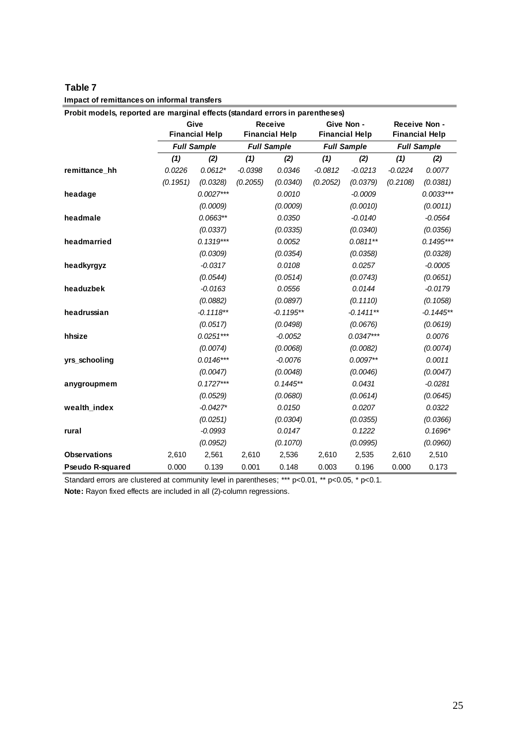| Table 7                                     |  |
|---------------------------------------------|--|
| Impact of remittances on informal transfers |  |

| Probit models, reported are marginal effects (standard errors in parentheses) |          |                               |           |                                  |           |                                     |                    |                                        |
|-------------------------------------------------------------------------------|----------|-------------------------------|-----------|----------------------------------|-----------|-------------------------------------|--------------------|----------------------------------------|
|                                                                               |          | Give<br><b>Financial Help</b> |           | Receive<br><b>Financial Help</b> |           | Give Non -<br><b>Financial Help</b> |                    | Receive Non -<br><b>Financial Help</b> |
|                                                                               |          | <b>Full Sample</b>            |           | <b>Full Sample</b>               |           | <b>Full Sample</b>                  | <b>Full Sample</b> |                                        |
|                                                                               | (1)      | (2)                           | (1)       | (2)                              | (1)       | (2)                                 | (1)                | (2)                                    |
| remittance_hh                                                                 | 0.0226   | $0.0612*$                     | $-0.0398$ | 0.0346                           | $-0.0812$ | $-0.0213$                           | $-0.0224$          | 0.0077                                 |
|                                                                               | (0.1951) | (0.0328)                      | (0.2055)  | (0.0340)                         | (0.2052)  | (0.0379)                            | (0.2108)           | (0.0381)                               |
| headage                                                                       |          | $0.0027***$                   |           | 0.0010                           |           | $-0.0009$                           |                    | $0.0033***$                            |
|                                                                               |          | (0.0009)                      |           | (0.0009)                         |           | (0.0010)                            |                    | (0.0011)                               |
| headmale                                                                      |          | $0.0663**$                    |           | 0.0350                           |           | $-0.0140$                           |                    | $-0.0564$                              |
|                                                                               |          | (0.0337)                      |           | (0.0335)                         |           | (0.0340)                            |                    | (0.0356)                               |
| headmarried                                                                   |          | $0.1319***$                   |           | 0.0052                           |           | $0.0811**$                          |                    | $0.1495***$                            |
|                                                                               |          | (0.0309)                      |           | (0.0354)                         |           | (0.0358)                            |                    | (0.0328)                               |
| headkyrgyz                                                                    |          | $-0.0317$                     |           | 0.0108                           |           | 0.0257                              |                    | $-0.0005$                              |
|                                                                               |          | (0.0544)                      |           | (0.0514)                         |           | (0.0743)                            |                    | (0.0651)                               |
| headuzbek                                                                     |          | $-0.0163$                     |           | 0.0556                           |           | 0.0144                              |                    | $-0.0179$                              |
|                                                                               |          | (0.0882)                      |           | (0.0897)                         |           | (0.1110)                            |                    | (0.1058)                               |
| headrussian                                                                   |          | $-0.1118**$                   |           | $-0.1195**$                      |           | $-0.1411**$                         |                    | $-0.1445**$                            |
|                                                                               |          | (0.0517)                      |           | (0.0498)                         |           | (0.0676)                            |                    | (0.0619)                               |
| hhsize                                                                        |          | $0.0251***$                   |           | $-0.0052$                        |           | $0.0347***$                         |                    | 0.0076                                 |
|                                                                               |          | (0.0074)                      |           | (0.0068)                         |           | (0.0082)                            |                    | (0.0074)                               |
| yrs_schooling                                                                 |          | $0.0146***$                   |           | $-0.0076$                        |           | $0.0097**$                          |                    | 0.0011                                 |
|                                                                               |          | (0.0047)                      |           | (0.0048)                         |           | (0.0046)                            |                    | (0.0047)                               |
| anygroupmem                                                                   |          | $0.1727***$                   |           | $0.1445**$                       |           | 0.0431                              |                    | $-0.0281$                              |
|                                                                               |          | (0.0529)                      |           | (0.0680)                         |           | (0.0614)                            |                    | (0.0645)                               |
| wealth index                                                                  |          | $-0.0427*$                    |           | 0.0150                           |           | 0.0207                              |                    | 0.0322                                 |
|                                                                               |          | (0.0251)                      |           | (0.0304)                         |           | (0.0355)                            |                    | (0.0366)                               |
| rural                                                                         |          | $-0.0993$                     |           | 0.0147                           |           | 0.1222                              |                    | $0.1696*$                              |
|                                                                               |          | (0.0952)                      |           | (0.1070)                         |           | (0.0995)                            |                    | (0.0960)                               |
| <b>Observations</b>                                                           | 2,610    | 2,561                         | 2,610     | 2,536                            | 2,610     | 2,535                               | 2,610              | 2,510                                  |
| <b>Pseudo R-squared</b>                                                       | 0.000    | 0.139                         | 0.001     | 0.148                            | 0.003     | 0.196                               | 0.000              | 0.173                                  |

Standard errors are clustered at community level in parentheses; \*\*\* p<0.01, \*\* p<0.05, \* p<0.1.

**Note:** Rayon fixed effects are included in all (2)-column regressions.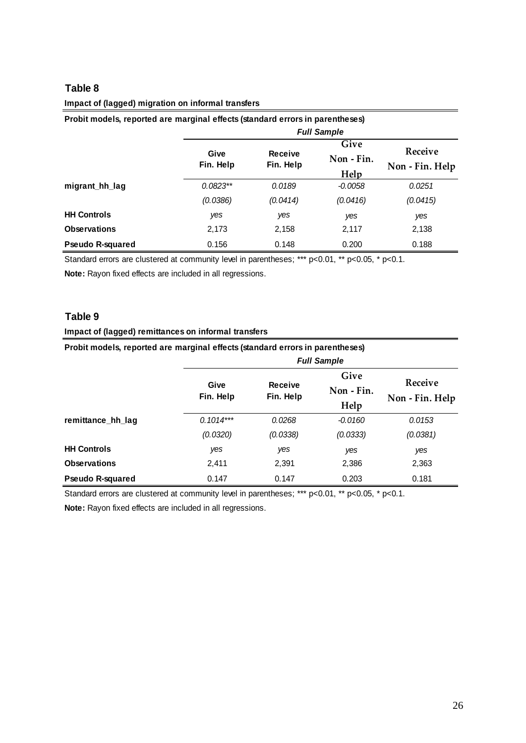# **Impact of (lagged) migration on informal transfers**

| Probit models, reported are marginal effects (standard errors in parentheses) |                    |           |            |                 |  |  |  |  |
|-------------------------------------------------------------------------------|--------------------|-----------|------------|-----------------|--|--|--|--|
|                                                                               | <b>Full Sample</b> |           |            |                 |  |  |  |  |
|                                                                               | Give               | Receive   | Give       | Receive         |  |  |  |  |
|                                                                               | Fin. Help          | Fin. Help | Non - Fin. | Non - Fin. Help |  |  |  |  |
|                                                                               |                    |           | Help       |                 |  |  |  |  |
| migrant_hh_lag                                                                | $0.0823**$         | 0.0189    | -0.0058    | 0.0251          |  |  |  |  |
|                                                                               | (0.0386)           | (0.0414)  | (0.0416)   | (0.0415)        |  |  |  |  |
| <b>HH Controls</b>                                                            | yes                | yes       | yes        | yes             |  |  |  |  |
| <b>Observations</b>                                                           | 2,173              | 2,158     | 2,117      | 2,138           |  |  |  |  |
| Pseudo R-squared                                                              | 0.156              | 0.148     | 0.200      | 0.188           |  |  |  |  |

Standard errors are clustered at community level in parentheses; \*\*\* p<0.01, \*\* p<0.05, \* p<0.1.

**Note:** Rayon fixed effects are included in all regressions.

### **Table 9**

#### **Impact of (lagged) remittances on informal transfers**

| Probit models, reported are marginal effects (standard errors in parentheses) |                    |                      |            |                 |  |  |  |  |
|-------------------------------------------------------------------------------|--------------------|----------------------|------------|-----------------|--|--|--|--|
|                                                                               | <b>Full Sample</b> |                      |            |                 |  |  |  |  |
|                                                                               |                    |                      | Give       |                 |  |  |  |  |
|                                                                               | Give<br>Fin. Help  | Receive<br>Fin. Help | Non - Fin. | Receive         |  |  |  |  |
|                                                                               |                    |                      | Help       | Non - Fin. Help |  |  |  |  |
| remittance_hh_lag                                                             | $0.1014***$        | 0.0268               | $-0.0160$  | 0.0153          |  |  |  |  |
|                                                                               | (0.0320)           | (0.0338)             | (0.0333)   | (0.0381)        |  |  |  |  |
| <b>HH Controls</b>                                                            | yes                | yes                  | yes        | yes             |  |  |  |  |
| <b>Observations</b>                                                           | 2,411              | 2,391                | 2,386      | 2,363           |  |  |  |  |
| <b>Pseudo R-squared</b>                                                       | 0.147              | 0.147                | 0.203      | 0.181           |  |  |  |  |

Standard errors are clustered at community level in parentheses; \*\*\* p<0.01, \*\* p<0.05, \* p<0.1.

**Note:** Rayon fixed effects are included in all regressions.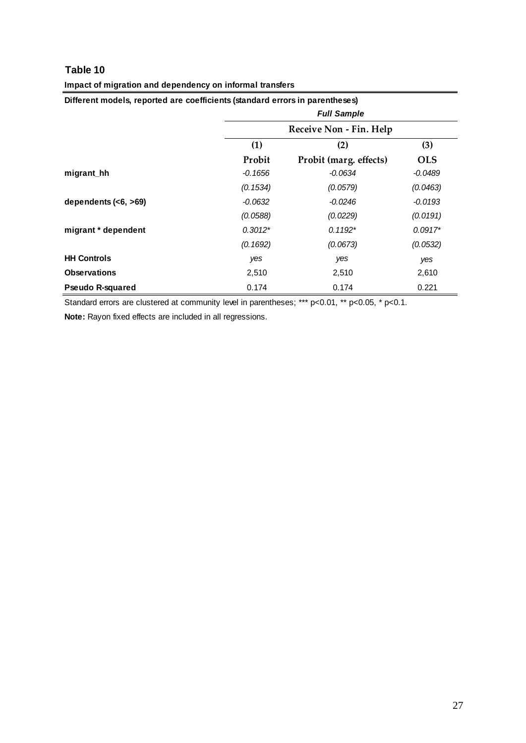| Different models, reported are coefficients (standard errors in parentheses) |           |                         |            |  |  |  |  |  |
|------------------------------------------------------------------------------|-----------|-------------------------|------------|--|--|--|--|--|
|                                                                              |           | <b>Full Sample</b>      |            |  |  |  |  |  |
|                                                                              |           | Receive Non - Fin. Help |            |  |  |  |  |  |
|                                                                              | (1)       | (3)<br>(2)              |            |  |  |  |  |  |
|                                                                              | Probit    | Probit (marg. effects)  | <b>OLS</b> |  |  |  |  |  |
| migrant_hh                                                                   | $-0.1656$ | $-0.0634$               | $-0.0489$  |  |  |  |  |  |
|                                                                              | (0.1534)  | (0.0579)                | (0.0463)   |  |  |  |  |  |
| dependents $(6, >69)$                                                        | $-0.0632$ | $-0.0246$               | $-0.0193$  |  |  |  |  |  |
|                                                                              | (0.0588)  | (0.0229)                | (0.0191)   |  |  |  |  |  |
| migrant * dependent                                                          | $0.3012*$ | $0.1192*$               | $0.0917*$  |  |  |  |  |  |
|                                                                              | (0.1692)  | (0.0673)                | (0.0532)   |  |  |  |  |  |
| <b>HH Controls</b>                                                           | yes       | yes                     | yes        |  |  |  |  |  |
| <b>Observations</b>                                                          | 2,510     | 2,510                   | 2,610      |  |  |  |  |  |
| <b>Pseudo R-squared</b>                                                      | 0.174     | 0.174                   | 0.221      |  |  |  |  |  |

#### **Impact of migration and dependency on informal transfers**

Standard errors are clustered at community level in parentheses; \*\*\* p<0.01, \*\* p<0.05, \* p<0.1.

**Note:** Rayon fixed effects are included in all regressions.